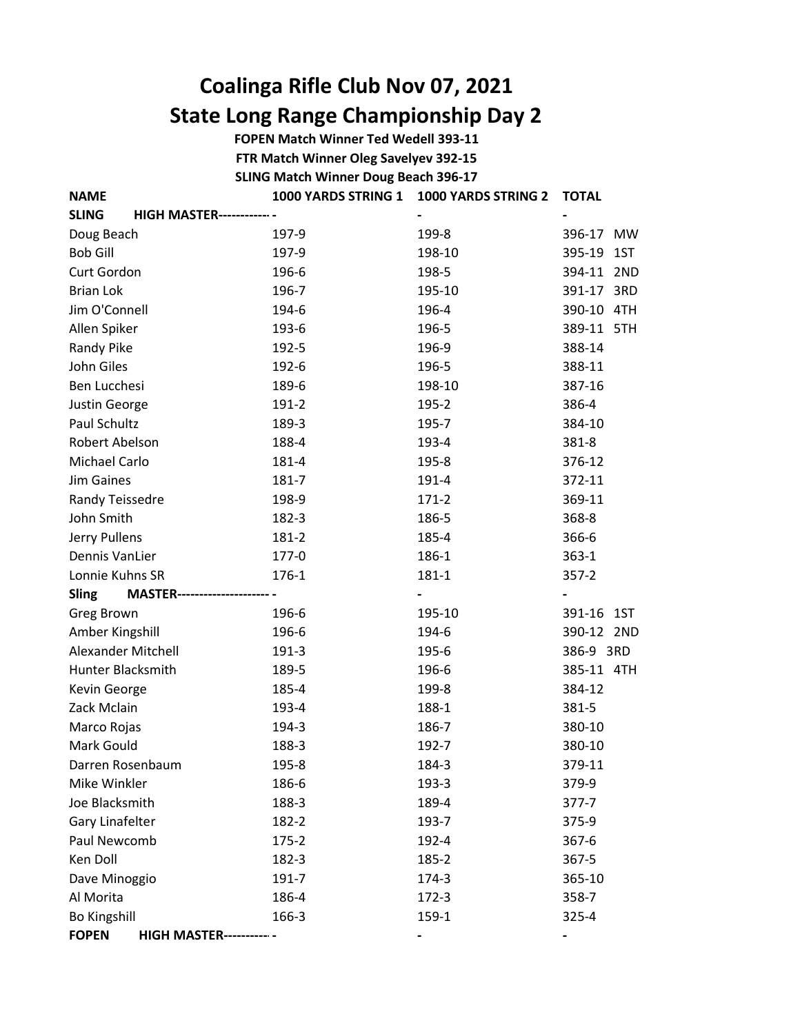## Coalinga Rifle Club Nov 07, 2021 State Long Range Championship Day 2

FOPEN Match Winner Ted Wedell 393-11

FTR Match Winner Oleg Savelyev 392-15

SLING Match Winner Doug Beach 396-17

| <b>NAME</b>                                        | 1000 YARDS STRING 1 | 1000 YARDS STRING 2 | <b>TOTAL</b> |
|----------------------------------------------------|---------------------|---------------------|--------------|
| <b>SLING</b><br><b>HIGH MASTER------------</b>     |                     |                     |              |
| Doug Beach                                         | 197-9               | 199-8               | 396-17 MW    |
| <b>Bob Gill</b>                                    | 197-9               | 198-10              | 395-19 1ST   |
| Curt Gordon                                        | 196-6               | 198-5               | 394-11 2ND   |
| <b>Brian Lok</b>                                   | 196-7               | 195-10              | 391-17 3RD   |
| Jim O'Connell                                      | 194-6               | 196-4               | 390-10 4TH   |
| Allen Spiker                                       | 193-6               | 196-5               | 389-11 5TH   |
| Randy Pike                                         | 192-5               | 196-9               | 388-14       |
| John Giles                                         | 192-6               | 196-5               | 388-11       |
| Ben Lucchesi                                       | 189-6               | 198-10              | 387-16       |
| Justin George                                      | 191-2               | 195-2               | 386-4        |
| Paul Schultz                                       | 189-3               | 195-7               | 384-10       |
| Robert Abelson                                     | 188-4               | 193-4               | 381-8        |
| Michael Carlo                                      | 181-4               | 195-8               | 376-12       |
| Jim Gaines                                         | 181-7               | 191-4               | 372-11       |
| Randy Teissedre                                    | 198-9               | $171 - 2$           | 369-11       |
| John Smith                                         | 182-3               | 186-5               | 368-8        |
| Jerry Pullens                                      | 181-2               | 185-4               | 366-6        |
| Dennis VanLier                                     | 177-0               | 186-1               | $363 - 1$    |
| Lonnie Kuhns SR                                    | 176-1               | 181-1               | $357 - 2$    |
| <b>Sling</b><br><b>MASTER---------------------</b> |                     |                     |              |
| Greg Brown                                         | 196-6               | 195-10              | 391-16 1ST   |
| Amber Kingshill                                    | 196-6               | 194-6               | 390-12 2ND   |
| Alexander Mitchell                                 | 191-3               | 195-6               | 386-9 3RD    |
| <b>Hunter Blacksmith</b>                           | 189-5               | 196-6               | 385-11 4TH   |
| Kevin George                                       | 185-4               | 199-8               | 384-12       |
| Zack Mclain                                        | 193-4               | 188-1               | 381-5        |
| Marco Rojas                                        | 194-3               | 186-7               | 380-10       |
| Mark Gould                                         | 188-3               | 192-7               | 380-10       |
| Darren Rosenbaum                                   | 195-8               | 184-3               | 379-11       |
| Mike Winkler                                       | 186-6               | 193-3               | 379-9        |
| Joe Blacksmith                                     | 188-3               | 189-4               | $377 - 7$    |
| Gary Linafelter                                    | 182-2               | 193-7               | 375-9        |
| Paul Newcomb                                       | 175-2               | 192-4               | $367 - 6$    |
| Ken Doll                                           | 182-3               | 185-2               | 367-5        |
| Dave Minoggio                                      | 191-7               | 174-3               | 365-10       |
| Al Morita                                          | 186-4               | $172 - 3$           | 358-7        |
| <b>Bo Kingshill</b>                                | 166-3               | 159-1               | 325-4        |
| <b>FOPEN</b><br><b>HIGH MASTER------------</b>     |                     |                     |              |